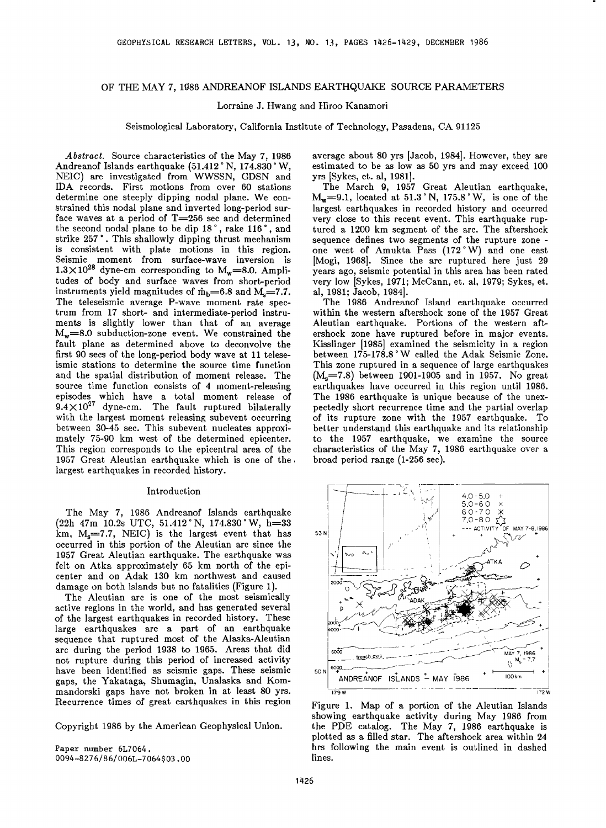## OF THE MAY 7, 1986 ANDREANOF ISLANDS EARTHQUAKE SOURCE PARAMETERS

## Lorraine J. Hwang and Hiroo Kanamori

**Seismological Laboratory, California Institute of Technology, Pasadena, CA 91125** 

**Abstract. Source characteristics of the May 7, 1986**  Andreanof Islands earthquake (51.412°N, 174.830°W, **NEIC) are investigated from WWSSN, GDSN and IDA records. First motions from over 60 stations determine one steeply dipping nodal plane. We constrained this nodal plane and inverted long-period sur**face waves at a period of T=256 sec and determined the second nodal plane to be dip 18°, rake 116°, and strike 257°. This shallowly dipping thrust mechanism **is consistent with plate motions in this region. Seismic moment from surface-wave inversion is**   $1.3 \times 10^{28}$  dyne-cm corresponding to  $M_w = 8.0$ . Ampli**tudes of body and surface waves from short-period**  instruments yield magnitudes of  $\hat{m}_b$ =6.8 and M<sub>s</sub>=7.7. **The teleseismic average P-wave moment rate spectrum from 17 short- and intermediate-period instruments is slightly lower than that of an average**   $M_w=8.0$  subduction-zone event. We constrained the **fault plane as determined above to deconvolve the first 90 secs of the long-period body wave at 11 teleseismic stations to determine the source time function and the spatial distribution of moment release. The source time function consists of 4 moment-releasing episodes which have a total moment release of 9.4X1027 dyne-cm. The fault ruptured bilaterally with the largest moment releasing subevent occurring between 30-45 sec. This subevent nucleates approximately 75-90 km west of the determined epicenter. This region corresponds to the epicentral area of the 1957 Great Aleutian earthquake which is one of the. largest earthquakes in recorded history.** 

## **Introduction**

**The May 7, 1986 Andreanor Islands earthquake**  (22h 47m 10.2s UTC, 51.412 °N, 174.830 °W, h=33 **km, Ms=7.7 , NEIC) is the largest event that has occurred in this portion of the Aleutian arc since the 1957 Great Aleutian earthquake. The earthquake was felt on Atka approximately 65 km north of the epicenter and on Adak 130 km northwest and caused damage on both islands but no fatalities (Figure 1).** 

**The Aleutian arc is one of the most seismically active regions in the world, and has generated several of the largest earthquakes in recorded history. These large earthquakes are a part of an earthquake sequence that ruptured most of the Alaska-Aleutian arc during the period 1938 to 1965. Areas that did not rupture during this period of increased activity have been identified as seismic gaps. These seismic gaps, the Yakataga., Shumagin, Unalaska and Kommandorski gaps have not broken in at least 80 yrs. Recurrence times of great earthquakes in this region** 

**Copyright 1986 by the American Geophysical Union.** 

**Paper number 6L7064. 0094-8276 / 8 6 / O06L-7 064 \$ 03. O0**  **average about 80 yrs [Jacob, 1984]. However, they are estimated to be as low as 50 yrs and may exceed 100 yrs [Sykes, et. al, 1981].** 

**The March 9, 1957 Great Aleutian earthquake,**   $M_w = 9.1$ , located at 51.3°N, 175.8°W, is one of the **largest earthquakes in recorded history and occurred very close to this recent event. This earthquake ruptured a 1200 km segment of the arc. The aftershock sequence defines two segments of the rupture zoneone west of Amukta Pass (172øW) and one east [Mogi, 1968]. Since the arc ruptured here just 29 years ago, seismic potential in this area has been rated very low [Sykes, 1971; McCann, et. al, 1979; Sykes, et. al, 1981; Jacob, 1984].** 

**The 1986 Andreanof Island earthquake occurred within the western aftershock zone of the 1957 Great Aleutian earthquake. Portions of the western aftershock zone have ruptured before in major events. Kisslinger [1985] examined the seismicity in a region**  between 175-178.8° W called the Adak Seismic Zone. **This zone ruptured in a sequence of large earthquakes**  (M<sub>s</sub>=7.8) between 1901-1905 and in 1957. No great **earthquakes have occurred in this region until 1986. The 1986 earthquake is unique because of the unexpectedly short recurrence time and the partial overlap of its rupture zone with the 1957 earthquake. To better understand this earthquake and its relationship to the 1957 earthquake, we examine the source characteristics of the May 7, 1986 earthquake over a broad period range (1-256 sec).** 



**Figure 1. Map of a portion of the Aleutian Islands showing earthquake activity during May 1986 from the PDE catalog. The May 7, 1986 earthquake is plotted as a filled star. The aftershock area within 24 hrs following the main event is outlined in dashed lines.**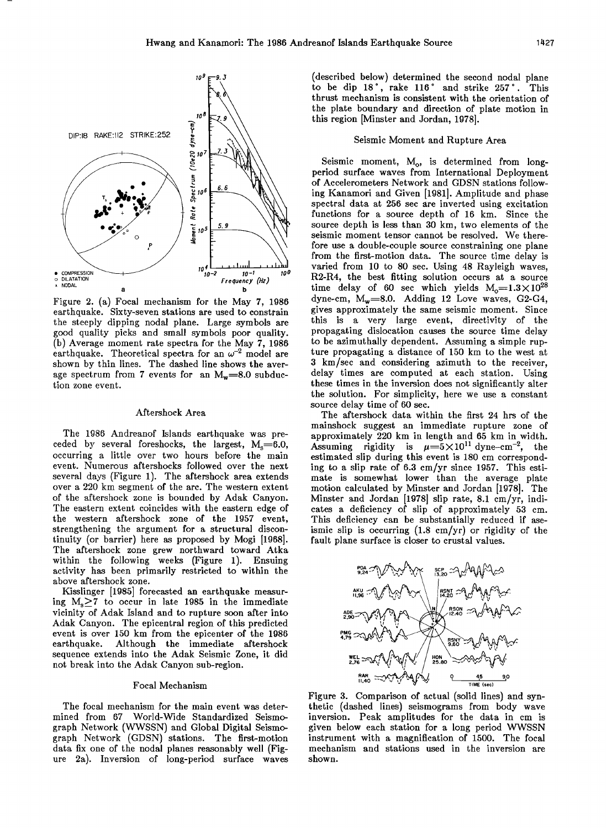

**Figure 2. (a) Focal mechanism for the May 7, 1986 earthquake. Sixty-seven stations are used to constrain the steeply dipping nodal plane. Large symbols are good quality picks and small symbols poor quality. (b) Average moment rate spectra for the May 7, 1986**  earthquake. Theoretical spectra for an  $\omega^{-2}$  model are **shown by thin lines. The dashed line shows the aver**age spectrum from 7 events for an  $M_w = 8.0$  subduc**tion zone event.** 

# **Aftershock Area**

**The 1986 Andreanof Islands earthquake was pre**ceded by several foreshocks, the largest, M<sub>s</sub>=6.0, **occurring a little over two hours before the main event. Numerous aftershocks followed over the next several days (Figure 1). The aftershock area extends over a 220 km segment of the are. The western extent of the aftershock zone is bounded by Adak Canyon. The eastern extent coincides with the eastern edge of the western aftershock zone of the 1957 event, strengthening the argument for a structural discontinuity (or barrier) here as proposed by Mogi [1968]. The aftershock zone grew northward toward Atka within the following weeks (Figure 1). Ensuing activity has been primarily restricted to within the above aftershock zone.** 

**Kisslinger [1985] forecasted an earthquake measuring Ms>\_7 to occur in late 1985 in the immediate vicinity of Adak Island and to rupture soon after into Adak Canyon. The epicentral region of this predicted event is over 150 km from the epicenter of the 1986**  Although the immediate aftershock **sequence extends into the Adak Seismic Zone, it did not break into the Adak Canyon sub-region.** 

## **Focal Mechanism**

**The focal mechanism for the main event was determined from 67 World-Wide Standardized Seismograph Network (WWSSN) and Global Digital Seismo**graph Network (GDSN) stations. The first-motion **data fix one of the nodal planes reasonably well (Figure 2a). Inversion of long-period surface waves**  **(described below) determined the second nodal plane**  to be dip 18°, rake 116° and strike 257°. **thrust mechanism is consistent with the orientation of the plate boundary and direction of plate motion in this region [Minster and Jordan, 1978].** 

# **Seismic Moment and Rupture Area**

Seismic moment, M<sub>o</sub>, is determined from long**period surface waves from International Deployment of Accelerometers Network and GDSN stations following Kanamori and Given [1981]. Amplitude and phase spectral data at 256 sec are inverted using excitation functions for a source depth of 16 km. Since the source depth is less than 30 km, two elements of the seismic moment tensor cannot be resolved. We therefore use a double-couple source constraining one plane from the first-motion data. The source time delay is varied from 10 to 80 sec. Using 48 Rayleigh waves, R2-R4, the best fitting solution occurs at a source**  time delay of 60 sec which yields  $M_0=1.3\times10^{28}$ dyne-cm, M<sub>w</sub>=8.0. Adding 12 Love waves, G2-G4, **gives approximately the same seismic moment. Since this is a very large event, directivity of the propagating dislocation causes the source time delay to be azimuthally dependent. Assuming a simple rupture propagating a distance of 150 km to the west at 3 km/sec and considering azimuth to the receiver, delay times are computed at each station. Using these times in the inversion does not significantly alter the solution. For simplicity, here we use a constant source delay time of 60 sec.** 

**The aftershock data within the first 24 hrs of the mainshock suggest an immediate rupture zone of approximately 220 km in length and 65 km in width.**  Assuming rigidity is  $\mu = 5 \times 10^{11}$  dyne-cm<sup>-2</sup>, the **estimated slip during this event is 180 cm corresponding to a slip rate of 6.3 cm/yr since 1957. This estimate is somewhat lower than the average plate motion calculated by Minster and Jordan [1978]. The Minster and Jordan [1978] slip rate, 8.1 cm/yr, indicates a deficiency of slip of approximately 53 cm. This deficiency can be substantially reduced if aseismic slip is occurring (1.8 cm/yr) or rigidity of the fault plane surface is closer to crustal values.** 



**Figure 3. Comparison of actual (solid lines) and synthetic (dashed lines) seismograms from body wave**  inversion. Peak amplitudes for the data in cm is **given below each station for a long period WWSSN instrument with a magnification of 1500, The focal mechanism and stations used in the inversion are shown.**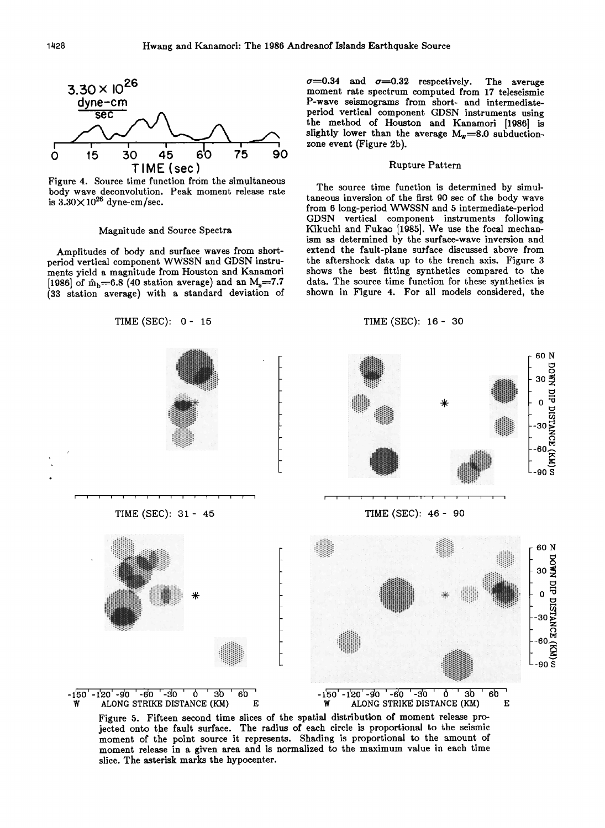

**Figure 4. Source time function from the simultaneous body wave deconvolution. Peak moment release rate**  is  $3.30 \times 10^{26}$  dyne-cm/sec.

# **Magnitude and Source Spectra**

**Amplitudes of body and surface waves from shortperiod vertical component WWSSN and GDSN instruments yield a magnitude from Houston and Kanamori**  [1986] of  $\hat{m}_b = 6.8$  (40 station average) and an M<sub>s</sub>=7.7 (33 station average) with a standard deviation of  $\sigma$ =0.34 and  $\sigma$ =0.32 respectively. The average **moment rate spectrum computed from 17 teleseismic P-wave seismograms from short- and intermediateperiod vertical component GDSN instruments using the method of Houston and Kanamori [1986] is**  slightly lower than the average  $M_w = 8.0$  subduction**zone event (Figure 2b).** 

## **Rupture Pattern**

**The source time function is determined by simultaneous inversion of the first 90 sec of the body wave from 6 long-period WWSSN and 5 intermediate-period GDSN vertical component instruments following Kikuchi and Fukao [1985]. We use the focal mechanism as determined by the surface-wave inversion and extend the fault-plane surface discussed above from the aftershock data up to the trench axis. Figure 3 shows the best fitting synthetics compared to the data. The source time function for these synthetics is shown in Figure 4. For all models considered, the** 



**Figure 5. Fifteen second time slices of the spatial distribution of moment release projected onto the fault surface. The radius of each circle is proportional to the seismic moment of the point source it represents. Shading is proportional to the amount of moment release in a given area and is normalized to the maximum value in each time slice. The asterisk marks the hypocenter.**